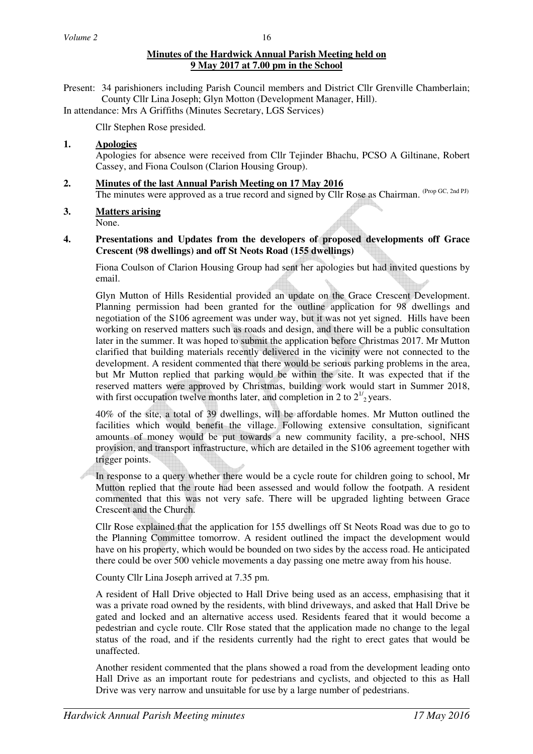# **Minutes of the Hardwick Annual Parish Meeting held on 9 May 2017 at 7.00 pm in the School**

Present: 34 parishioners including Parish Council members and District Cllr Grenville Chamberlain; County Cllr Lina Joseph; Glyn Motton (Development Manager, Hill).

In attendance: Mrs A Griffiths (Minutes Secretary, LGS Services)

Cllr Stephen Rose presided.

## **1. Apologies**

Apologies for absence were received from Cllr Tejinder Bhachu, PCSO A Giltinane, Robert Cassey, and Fiona Coulson (Clarion Housing Group).

- **2. Minutes of the last Annual Parish Meeting on 17 May 2016** The minutes were approved as a true record and signed by Cllr Rose as Chairman. (Prop GC, 2nd PJ)
- **3. Matters arising**

None.

**4. Presentations and Updates from the developers of proposed developments off Grace Crescent (98 dwellings) and off St Neots Road (155 dwellings)** 

Fiona Coulson of Clarion Housing Group had sent her apologies but had invited questions by email.

 Glyn Mutton of Hills Residential provided an update on the Grace Crescent Development. Planning permission had been granted for the outline application for 98 dwellings and negotiation of the S106 agreement was under way, but it was not yet signed. Hills have been working on reserved matters such as roads and design, and there will be a public consultation later in the summer. It was hoped to submit the application before Christmas 2017. Mr Mutton clarified that building materials recently delivered in the vicinity were not connected to the development. A resident commented that there would be serious parking problems in the area, but Mr Mutton replied that parking would be within the site. It was expected that if the reserved matters were approved by Christmas, building work would start in Summer 2018, with first occupation twelve months later, and completion in 2 to  $2^{1/2}$  years.

 40% of the site, a total of 39 dwellings, will be affordable homes. Mr Mutton outlined the facilities which would benefit the village. Following extensive consultation, significant amounts of money would be put towards a new community facility, a pre-school, NHS provision, and transport infrastructure, which are detailed in the S106 agreement together with trigger points.

 In response to a query whether there would be a cycle route for children going to school, Mr Mutton replied that the route had been assessed and would follow the footpath. A resident commented that this was not very safe. There will be upgraded lighting between Grace Crescent and the Church.

 Cllr Rose explained that the application for 155 dwellings off St Neots Road was due to go to the Planning Committee tomorrow. A resident outlined the impact the development would have on his property, which would be bounded on two sides by the access road. He anticipated there could be over 500 vehicle movements a day passing one metre away from his house.

County Cllr Lina Joseph arrived at 7.35 pm.

 A resident of Hall Drive objected to Hall Drive being used as an access, emphasising that it was a private road owned by the residents, with blind driveways, and asked that Hall Drive be gated and locked and an alternative access used. Residents feared that it would become a pedestrian and cycle route. Cllr Rose stated that the application made no change to the legal status of the road, and if the residents currently had the right to erect gates that would be unaffected.

 Another resident commented that the plans showed a road from the development leading onto Hall Drive as an important route for pedestrians and cyclists, and objected to this as Hall Drive was very narrow and unsuitable for use by a large number of pedestrians.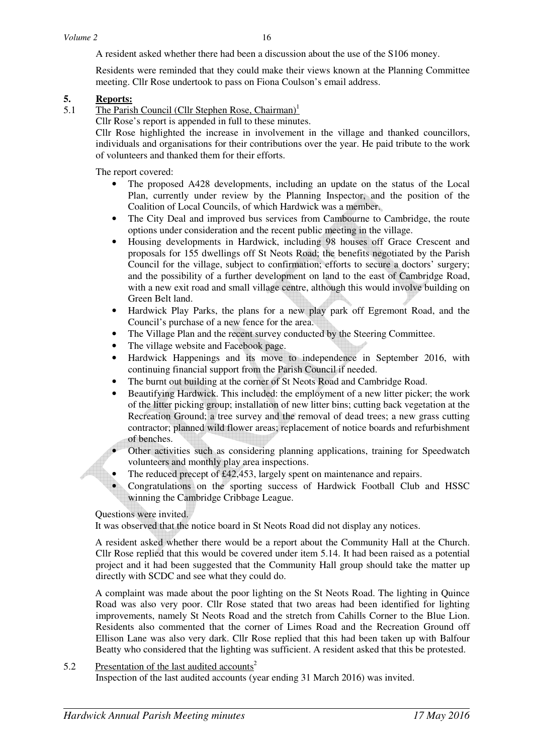A resident asked whether there had been a discussion about the use of the S106 money.

 Residents were reminded that they could make their views known at the Planning Committee meeting. Cllr Rose undertook to pass on Fiona Coulson's email address.

#### **5. Reports:**

- 5.1 The Parish Council (Cllr Stephen Rose, Chairman)<sup>1</sup>
	- Cllr Rose's report is appended in full to these minutes.

Cllr Rose highlighted the increase in involvement in the village and thanked councillors, individuals and organisations for their contributions over the year. He paid tribute to the work of volunteers and thanked them for their efforts.

The report covered:

- The proposed A428 developments, including an update on the status of the Local Plan, currently under review by the Planning Inspector, and the position of the Coalition of Local Councils, of which Hardwick was a member.
- The City Deal and improved bus services from Cambourne to Cambridge, the route options under consideration and the recent public meeting in the village.
- Housing developments in Hardwick, including 98 houses off Grace Crescent and proposals for 155 dwellings off St Neots Road; the benefits negotiated by the Parish Council for the village, subject to confirmation; efforts to secure a doctors' surgery; and the possibility of a further development on land to the east of Cambridge Road, with a new exit road and small village centre, although this would involve building on Green Belt land.
- Hardwick Play Parks, the plans for a new play park off Egremont Road, and the Council's purchase of a new fence for the area.
- The Village Plan and the recent survey conducted by the Steering Committee.
- The village website and Facebook page.
- Hardwick Happenings and its move to independence in September 2016, with continuing financial support from the Parish Council if needed.
- The burnt out building at the corner of St Neots Road and Cambridge Road.
- Beautifying Hardwick. This included: the employment of a new litter picker; the work of the litter picking group; installation of new litter bins; cutting back vegetation at the Recreation Ground; a tree survey and the removal of dead trees; a new grass cutting contractor; planned wild flower areas; replacement of notice boards and refurbishment of benches.
	- Other activities such as considering planning applications, training for Speedwatch volunteers and monthly play area inspections.
- The reduced precept of £42,453, largely spent on maintenance and repairs.
- Congratulations on the sporting success of Hardwick Football Club and HSSC winning the Cambridge Cribbage League.

Questions were invited.

It was observed that the notice board in St Neots Road did not display any notices.

A resident asked whether there would be a report about the Community Hall at the Church. Cllr Rose replied that this would be covered under item 5.14. It had been raised as a potential project and it had been suggested that the Community Hall group should take the matter up directly with SCDC and see what they could do.

A complaint was made about the poor lighting on the St Neots Road. The lighting in Quince Road was also very poor. Cllr Rose stated that two areas had been identified for lighting improvements, namely St Neots Road and the stretch from Cahills Corner to the Blue Lion. Residents also commented that the corner of Limes Road and the Recreation Ground off Ellison Lane was also very dark. Cllr Rose replied that this had been taken up with Balfour Beatty who considered that the lighting was sufficient. A resident asked that this be protested.

### 5.2 Presentation of the last audited accounts<sup>2</sup>

Inspection of the last audited accounts (year ending 31 March 2016) was invited.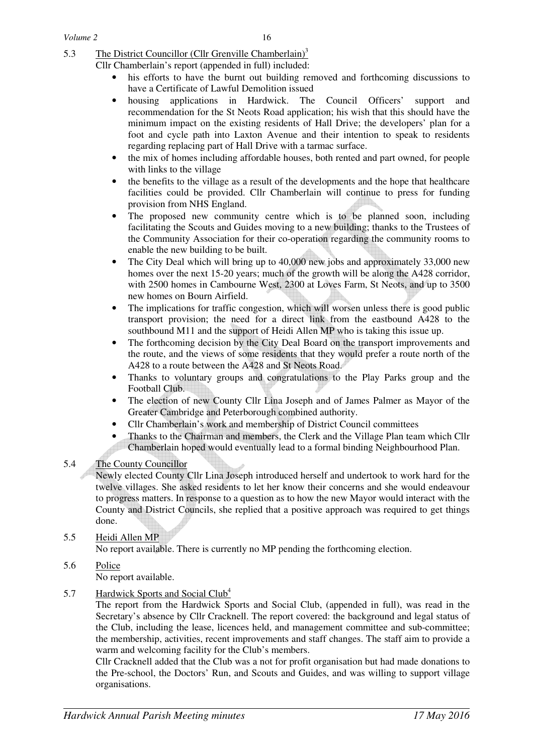5.3 The District Councillor (Cllr Grenville Chamberlain)<sup>3</sup>

Cllr Chamberlain's report (appended in full) included:

- his efforts to have the burnt out building removed and forthcoming discussions to have a Certificate of Lawful Demolition issued
- housing applications in Hardwick. The Council Officers' support and recommendation for the St Neots Road application; his wish that this should have the minimum impact on the existing residents of Hall Drive; the developers' plan for a foot and cycle path into Laxton Avenue and their intention to speak to residents regarding replacing part of Hall Drive with a tarmac surface.
- the mix of homes including affordable houses, both rented and part owned, for people with links to the village
- the benefits to the village as a result of the developments and the hope that healthcare facilities could be provided. Cllr Chamberlain will continue to press for funding provision from NHS England.
- The proposed new community centre which is to be planned soon, including facilitating the Scouts and Guides moving to a new building; thanks to the Trustees of the Community Association for their co-operation regarding the community rooms to enable the new building to be built.
- The City Deal which will bring up to 40,000 new jobs and approximately 33,000 new homes over the next 15-20 years; much of the growth will be along the A428 corridor, with 2500 homes in Cambourne West, 2300 at Loves Farm, St Neots, and up to 3500 new homes on Bourn Airfield.
- The implications for traffic congestion, which will worsen unless there is good public transport provision; the need for a direct link from the eastbound A428 to the southbound M11 and the support of Heidi Allen MP who is taking this issue up.
- The forthcoming decision by the City Deal Board on the transport improvements and the route, and the views of some residents that they would prefer a route north of the A428 to a route between the A428 and St Neots Road.
- Thanks to voluntary groups and congratulations to the Play Parks group and the Football Club.
- The election of new County Cllr Lina Joseph and of James Palmer as Mayor of the Greater Cambridge and Peterborough combined authority.
- Cllr Chamberlain's work and membership of District Council committees
- Thanks to the Chairman and members, the Clerk and the Village Plan team which Cllr
- Chamberlain hoped would eventually lead to a formal binding Neighbourhood Plan.

## 5.4 The County Councillor

 Newly elected County Cllr Lina Joseph introduced herself and undertook to work hard for the twelve villages. She asked residents to let her know their concerns and she would endeavour to progress matters. In response to a question as to how the new Mayor would interact with the County and District Councils, she replied that a positive approach was required to get things done.

# 5.5 Heidi Allen MP

No report available. There is currently no MP pending the forthcoming election.

#### 5.6 Police No report available.

5.7 Hardwick Sports and Social Club<sup>4</sup>

 The report from the Hardwick Sports and Social Club, (appended in full), was read in the Secretary's absence by Cllr Cracknell. The report covered: the background and legal status of the Club, including the lease, licences held, and management committee and sub-committee; the membership, activities, recent improvements and staff changes. The staff aim to provide a warm and welcoming facility for the Club's members.

 Cllr Cracknell added that the Club was a not for profit organisation but had made donations to the Pre-school, the Doctors' Run, and Scouts and Guides, and was willing to support village organisations.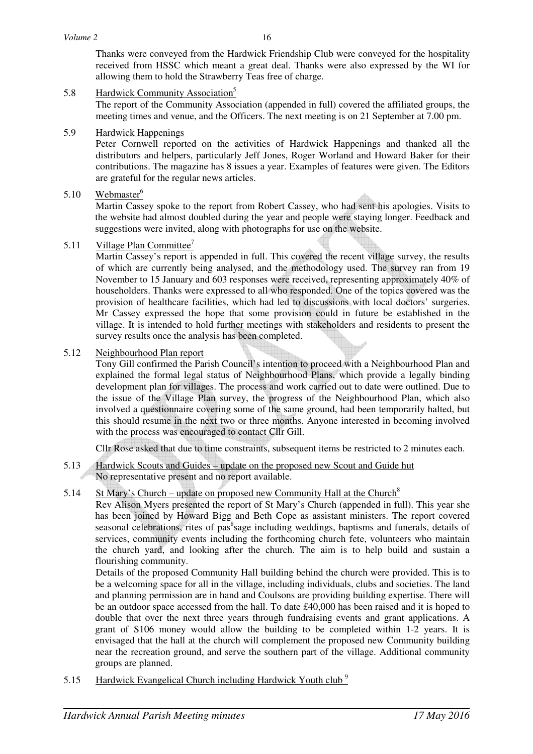Thanks were conveyed from the Hardwick Friendship Club were conveyed for the hospitality received from HSSC which meant a great deal. Thanks were also expressed by the WI for allowing them to hold the Strawberry Teas free of charge.

5.8 Hardwick Community Association<sup>5</sup>

 The report of the Community Association (appended in full) covered the affiliated groups, the meeting times and venue, and the Officers. The next meeting is on 21 September at 7.00 pm.

5.9 Hardwick Happenings

 Peter Cornwell reported on the activities of Hardwick Happenings and thanked all the distributors and helpers, particularly Jeff Jones, Roger Worland and Howard Baker for their contributions. The magazine has 8 issues a year. Examples of features were given. The Editors are grateful for the regular news articles.

5.10 Webmaster<sup>6</sup>

Martin Cassey spoke to the report from Robert Cassey, who had sent his apologies. Visits to the website had almost doubled during the year and people were staying longer. Feedback and suggestions were invited, along with photographs for use on the website.

5.11 Village Plan Committee<sup>7</sup>

Martin Cassey's report is appended in full. This covered the recent village survey, the results of which are currently being analysed, and the methodology used. The survey ran from 19 November to 15 January and 603 responses were received, representing approximately 40% of householders. Thanks were expressed to all who responded. One of the topics covered was the provision of healthcare facilities, which had led to discussions with local doctors' surgeries. Mr Cassey expressed the hope that some provision could in future be established in the village. It is intended to hold further meetings with stakeholders and residents to present the survey results once the analysis has been completed.

## 5.12 Neighbourhood Plan report

Tony Gill confirmed the Parish Council's intention to proceed with a Neighbourhood Plan and explained the formal legal status of Neighbourhood Plans, which provide a legally binding development plan for villages. The process and work carried out to date were outlined. Due to the issue of the Village Plan survey, the progress of the Neighbourhood Plan, which also involved a questionnaire covering some of the same ground, had been temporarily halted, but this should resume in the next two or three months. Anyone interested in becoming involved with the process was encouraged to contact Cllr Gill.

Cllr Rose asked that due to time constraints, subsequent items be restricted to 2 minutes each.

- 5.13 Hardwick Scouts and Guides update on the proposed new Scout and Guide hut No representative present and no report available.
- 5.14 St Mary's Church update on proposed new Community Hall at the Church<sup>8</sup>

Rev Alison Myers presented the report of St Mary's Church (appended in full). This year she has been joined by Howard Bigg and Beth Cope as assistant ministers. The report covered seasonal celebrations, rites of pas<sup>8</sup>sage including weddings, baptisms and funerals, details of services, community events including the forthcoming church fete, volunteers who maintain the church yard, and looking after the church. The aim is to help build and sustain a flourishing community.

Details of the proposed Community Hall building behind the church were provided. This is to be a welcoming space for all in the village, including individuals, clubs and societies. The land and planning permission are in hand and Coulsons are providing building expertise. There will be an outdoor space accessed from the hall. To date £40,000 has been raised and it is hoped to double that over the next three years through fundraising events and grant applications. A grant of S106 money would allow the building to be completed within 1-2 years. It is envisaged that the hall at the church will complement the proposed new Community building near the recreation ground, and serve the southern part of the village. Additional community groups are planned.

5.15 Hardwick Evangelical Church including Hardwick Youth club<sup>9</sup>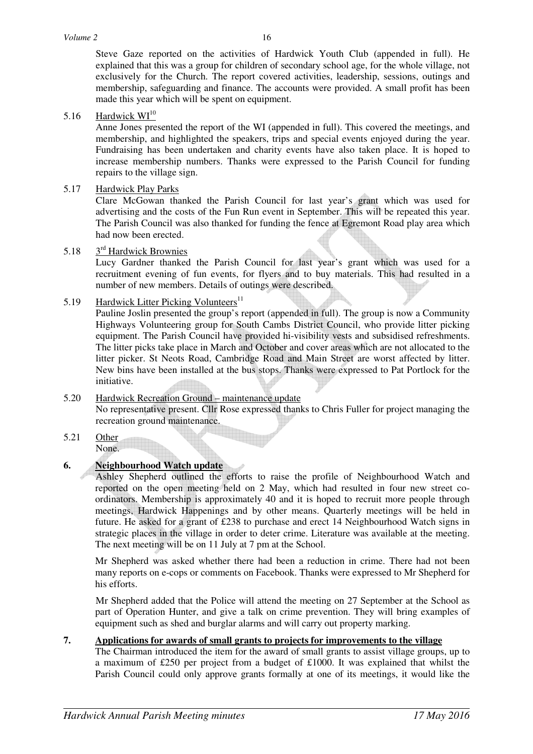Steve Gaze reported on the activities of Hardwick Youth Club (appended in full). He explained that this was a group for children of secondary school age, for the whole village, not exclusively for the Church. The report covered activities, leadership, sessions, outings and membership, safeguarding and finance. The accounts were provided. A small profit has been made this year which will be spent on equipment.

5.16 Hardwick WI<sup>10</sup>

Anne Jones presented the report of the WI (appended in full). This covered the meetings, and membership, and highlighted the speakers, trips and special events enjoyed during the year. Fundraising has been undertaken and charity events have also taken place. It is hoped to increase membership numbers. Thanks were expressed to the Parish Council for funding repairs to the village sign.

### 5.17 Hardwick Play Parks

Clare McGowan thanked the Parish Council for last year's grant which was used for advertising and the costs of the Fun Run event in September. This will be repeated this year. The Parish Council was also thanked for funding the fence at Egremont Road play area which had now been erected.

#### 5.18 3<sup>rd</sup> Hardwick Brownies

Lucy Gardner thanked the Parish Council for last year's grant which was used for a recruitment evening of fun events, for flyers and to buy materials. This had resulted in a number of new members. Details of outings were described.

5.19 Hardwick Litter Picking Volunteers<sup>11</sup>

Pauline Joslin presented the group's report (appended in full). The group is now a Community Highways Volunteering group for South Cambs District Council, who provide litter picking equipment. The Parish Council have provided hi-visibility vests and subsidised refreshments. The litter picks take place in March and October and cover areas which are not allocated to the litter picker. St Neots Road, Cambridge Road and Main Street are worst affected by litter. New bins have been installed at the bus stops. Thanks were expressed to Pat Portlock for the initiative.

### 5.20 Hardwick Recreation Ground – maintenance update No representative present. Cllr Rose expressed thanks to Chris Fuller for project managing the recreation ground maintenance.

5.21 Other None.

# **6. Neighbourhood Watch update**

Ashley Shepherd outlined the efforts to raise the profile of Neighbourhood Watch and reported on the open meeting held on 2 May, which had resulted in four new street coordinators. Membership is approximately 40 and it is hoped to recruit more people through meetings, Hardwick Happenings and by other means. Quarterly meetings will be held in future. He asked for a grant of £238 to purchase and erect 14 Neighbourhood Watch signs in strategic places in the village in order to deter crime. Literature was available at the meeting. The next meeting will be on 11 July at 7 pm at the School.

Mr Shepherd was asked whether there had been a reduction in crime. There had not been many reports on e-cops or comments on Facebook. Thanks were expressed to Mr Shepherd for his efforts.

Mr Shepherd added that the Police will attend the meeting on 27 September at the School as part of Operation Hunter, and give a talk on crime prevention. They will bring examples of equipment such as shed and burglar alarms and will carry out property marking.

### **7. Applications for awards of small grants to projects for improvements to the village**

The Chairman introduced the item for the award of small grants to assist village groups, up to a maximum of £250 per project from a budget of £1000. It was explained that whilst the Parish Council could only approve grants formally at one of its meetings, it would like the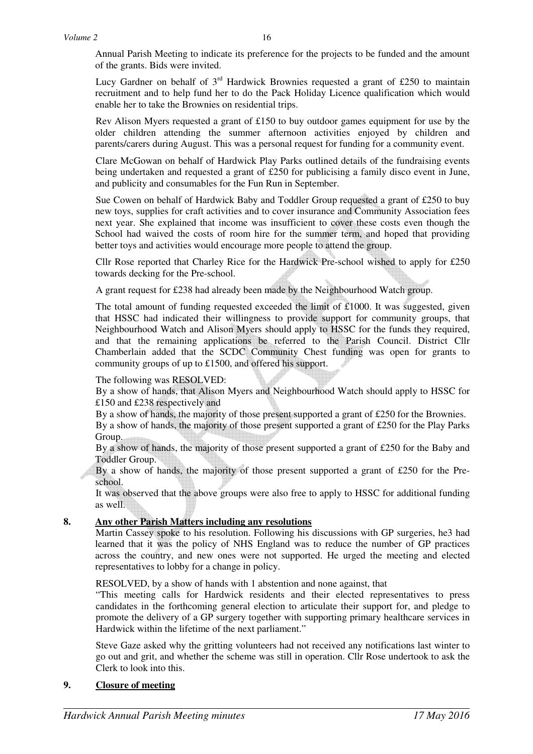Annual Parish Meeting to indicate its preference for the projects to be funded and the amount of the grants. Bids were invited.

Lucy Gardner on behalf of  $3<sup>rd</sup>$  Hardwick Brownies requested a grant of £250 to maintain recruitment and to help fund her to do the Pack Holiday Licence qualification which would enable her to take the Brownies on residential trips.

Rev Alison Myers requested a grant of £150 to buy outdoor games equipment for use by the older children attending the summer afternoon activities enjoyed by children and parents/carers during August. This was a personal request for funding for a community event.

Clare McGowan on behalf of Hardwick Play Parks outlined details of the fundraising events being undertaken and requested a grant of £250 for publicising a family disco event in June, and publicity and consumables for the Fun Run in September.

Sue Cowen on behalf of Hardwick Baby and Toddler Group requested a grant of £250 to buy new toys, supplies for craft activities and to cover insurance and Community Association fees next year. She explained that income was insufficient to cover these costs even though the School had waived the costs of room hire for the summer term, and hoped that providing better toys and activities would encourage more people to attend the group.

Cllr Rose reported that Charley Rice for the Hardwick Pre-school wished to apply for £250 towards decking for the Pre-school.

A grant request for £238 had already been made by the Neighbourhood Watch group.

The total amount of funding requested exceeded the limit of £1000. It was suggested, given that HSSC had indicated their willingness to provide support for community groups, that Neighbourhood Watch and Alison Myers should apply to HSSC for the funds they required, and that the remaining applications be referred to the Parish Council. District Cllr Chamberlain added that the SCDC Community Chest funding was open for grants to community groups of up to £1500, and offered his support.

### The following was RESOLVED:

By a show of hands, that Alison Myers and Neighbourhood Watch should apply to HSSC for £150 and £238 respectively and

By a show of hands, the majority of those present supported a grant of £250 for the Brownies.

By a show of hands, the majority of those present supported a grant of £250 for the Play Parks Group.

By a show of hands, the majority of those present supported a grant of £250 for the Baby and Toddler Group.

By a show of hands, the majority of those present supported a grant of £250 for the Preschool.

It was observed that the above groups were also free to apply to HSSC for additional funding as well.

## **8. Any other Parish Matters including any resolutions**

Martin Cassey spoke to his resolution. Following his discussions with GP surgeries, he3 had learned that it was the policy of NHS England was to reduce the number of GP practices across the country, and new ones were not supported. He urged the meeting and elected representatives to lobby for a change in policy.

RESOLVED, by a show of hands with 1 abstention and none against, that

"This meeting calls for Hardwick residents and their elected representatives to press candidates in the forthcoming general election to articulate their support for, and pledge to promote the delivery of a GP surgery together with supporting primary healthcare services in Hardwick within the lifetime of the next parliament."

Steve Gaze asked why the gritting volunteers had not received any notifications last winter to go out and grit, and whether the scheme was still in operation. Cllr Rose undertook to ask the Clerk to look into this.

## **9. Closure of meeting**